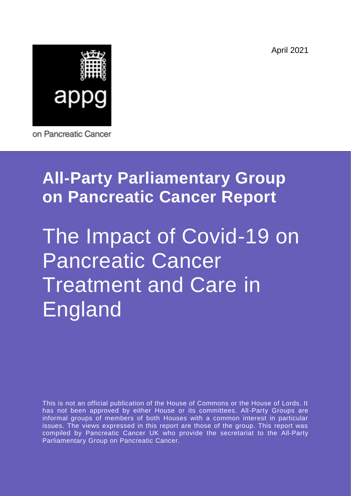April 2021



on Pancreatic Cancer

# **All-Party Parliamentary Group on Pancreatic Cancer Report**

# The Impact of Covid-19 on Pancreatic Cancer Treatment and Care in England

This is not an official publication of the House of Commons or the House of Lords. It has not been approved by either House or its committees. All-Party Groups are informal groups of members of both Houses with a common interest in particular issues. The views expressed in this report are those of the group. This report was compiled by Pancreatic Cancer UK who provide the secretariat to the All-Party Parliamentary Group on Pancreatic Cancer.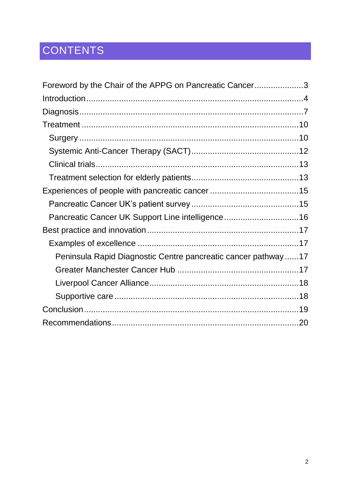# CONTENTS

| Foreword by the Chair of the APPG on Pancreatic Cancer3       |  |
|---------------------------------------------------------------|--|
|                                                               |  |
|                                                               |  |
|                                                               |  |
|                                                               |  |
|                                                               |  |
|                                                               |  |
|                                                               |  |
|                                                               |  |
|                                                               |  |
| Pancreatic Cancer UK Support Line intelligence16              |  |
|                                                               |  |
|                                                               |  |
| Peninsula Rapid Diagnostic Centre pancreatic cancer pathway17 |  |
|                                                               |  |
|                                                               |  |
|                                                               |  |
|                                                               |  |
|                                                               |  |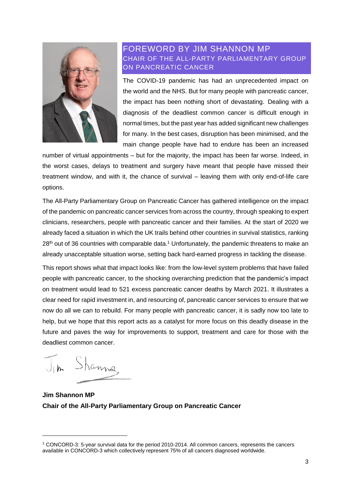

# <span id="page-2-0"></span>FOREWORD BY JIM SHANNON MP CHAIR OF THE ALL-PARTY PARLIAMENTARY GROUP ON PANCREATIC CANCER

The COVID-19 pandemic has had an unprecedented impact on the world and the NHS. But for many people with pancreatic cancer, the impact has been nothing short of devastating. Dealing with a diagnosis of the deadliest common cancer is difficult enough in normal times, but the past year has added significant new challenges for many. In the best cases, disruption has been minimised, and the main change people have had to endure has been an increased

number of virtual appointments – but for the majority, the impact has been far worse. Indeed, in the worst cases, delays to treatment and surgery have meant that people have missed their treatment window, and with it, the chance of survival – leaving them with only end-of-life care options.

The All-Party Parliamentary Group on Pancreatic Cancer has gathered intelligence on the impact of the pandemic on pancreatic cancer services from across the country, through speaking to expert clinicians, researchers, people with pancreatic cancer and their families. At the start of 2020 we already faced a situation in which the UK trails behind other countries in survival statistics, ranking 28<sup>th</sup> out of 36 countries with comparable data.<sup>1</sup> Unfortunately, the pandemic threatens to make an already unacceptable situation worse, setting back hard-earned progress in tackling the disease.

This report shows what that impact looks like: from the low-level system problems that have failed people with pancreatic cancer, to the shocking overarching prediction that the pandemic's impact on treatment would lead to 521 excess pancreatic cancer deaths by March 2021. It illustrates a clear need for rapid investment in, and resourcing of, pancreatic cancer services to ensure that we now do all we can to rebuild. For many people with pancreatic cancer, it is sadly now too late to help, but we hope that this report acts as a catalyst for more focus on this deadly disease in the future and paves the way for improvements to support, treatment and care for those with the deadliest common cancer.

Shannaz

**Jim Shannon MP Chair of the All-Party Parliamentary Group on Pancreatic Cancer**

<sup>1</sup> CONCORD-3: 5-year survival data for the period 2010-2014. All common cancers, represents the cancers available in CONCORD-3 which collectively represent 75% of all cancers diagnosed worldwide.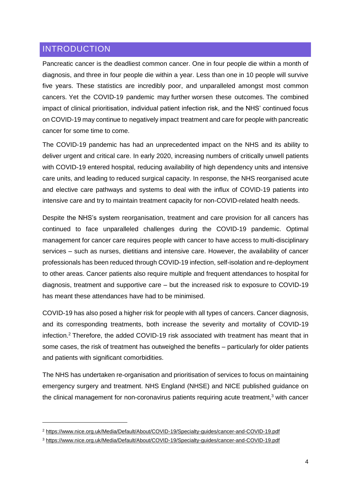## <span id="page-3-0"></span>INTRODUCTION

1

Pancreatic cancer is the deadliest common cancer. One in four people die within a month of diagnosis, and three in four people die within a year. Less than one in 10 people will survive five years. These statistics are incredibly poor, and unparalleled amongst most common cancers. Yet the COVID-19 pandemic may further worsen these outcomes. The combined impact of clinical prioritisation, individual patient infection risk, and the NHS' continued focus on COVID-19 may continue to negatively impact treatment and care for people with pancreatic cancer for some time to come.

The COVID-19 pandemic has had an unprecedented impact on the NHS and its ability to deliver urgent and critical care. In early 2020, increasing numbers of critically unwell patients with COVID-19 entered hospital, reducing availability of high dependency units and intensive care units, and leading to reduced surgical capacity. In response, the NHS reorganised acute and elective care pathways and systems to deal with the influx of COVID-19 patients into intensive care and try to maintain treatment capacity for non-COVID-related health needs.

Despite the NHS's system reorganisation, treatment and care provision for all cancers has continued to face unparalleled challenges during the COVID-19 pandemic. Optimal management for cancer care requires people with cancer to have access to multi-disciplinary services – such as nurses, dietitians and intensive care. However, the availability of cancer professionals has been reduced through COVID-19 infection, self-isolation and re-deployment to other areas. Cancer patients also require multiple and frequent attendances to hospital for diagnosis, treatment and supportive care – but the increased risk to exposure to COVID-19 has meant these attendances have had to be minimised.

COVID-19 has also posed a higher risk for people with all types of cancers. Cancer diagnosis, and its corresponding treatments, both increase the severity and mortality of COVID-19 infection. <sup>2</sup> Therefore, the added COVID-19 risk associated with treatment has meant that in some cases, the risk of treatment has outweighed the benefits – particularly for older patients and patients with significant comorbidities.

The NHS has undertaken re-organisation and prioritisation of services to focus on maintaining emergency surgery and treatment. NHS England (NHSE) and NICE published guidance on the clinical management for non-coronavirus patients requiring acute treatment, $3$  with cancer

<sup>2</sup> <https://www.nice.org.uk/Media/Default/About/COVID-19/Specialty-guides/cancer-and-COVID-19.pdf>

<sup>3</sup> <https://www.nice.org.uk/Media/Default/About/COVID-19/Specialty-guides/cancer-and-COVID-19.pdf>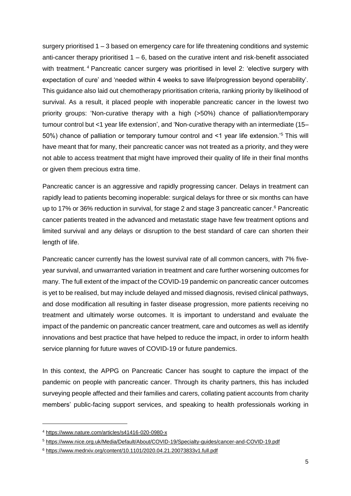surgery prioritised 1 – 3 based on emergency care for life threatening conditions and systemic anti-cancer therapy prioritised  $1 - 6$ , based on the curative intent and risk-benefit associated with treatment.<sup>4</sup> Pancreatic cancer surgery was prioritised in level 2: 'elective surgery with expectation of cure' and 'needed within 4 weeks to save life/progression beyond operability'. This guidance also laid out chemotherapy prioritisation criteria, ranking priority by likelihood of survival. As a result, it placed people with inoperable pancreatic cancer in the lowest two priority groups: 'Non-curative therapy with a high (>50%) chance of palliation/temporary tumour control but <1 year life extension', and 'Non-curative therapy with an intermediate (15– 50%) chance of palliation or temporary tumour control and <1 year life extension.'<sup>5</sup> This will have meant that for many, their pancreatic cancer was not treated as a priority, and they were not able to access treatment that might have improved their quality of life in their final months or given them precious extra time.

Pancreatic cancer is an aggressive and rapidly progressing cancer. Delays in treatment can rapidly lead to patients becoming inoperable: surgical delays for three or six months can have up to 17% or 36% reduction in survival, for stage 2 and stage 3 pancreatic cancer.<sup>6</sup> Pancreatic cancer patients treated in the advanced and metastatic stage have few treatment options and limited survival and any delays or disruption to the best standard of care can shorten their length of life.

Pancreatic cancer currently has the lowest survival rate of all common cancers, with 7% fiveyear survival, and unwarranted variation in treatment and care further worsening outcomes for many. The full extent of the impact of the COVID-19 pandemic on pancreatic cancer outcomes is yet to be realised, but may include delayed and missed diagnosis, revised clinical pathways, and dose modification all resulting in faster disease progression, more patients receiving no treatment and ultimately worse outcomes. It is important to understand and evaluate the impact of the pandemic on pancreatic cancer treatment, care and outcomes as well as identify innovations and best practice that have helped to reduce the impact, in order to inform health service planning for future waves of COVID-19 or future pandemics.

In this context, the APPG on Pancreatic Cancer has sought to capture the impact of the pandemic on people with pancreatic cancer. Through its charity partners, this has included surveying people affected and their families and carers, collating patient accounts from charity members' public-facing support services, and speaking to health professionals working in

<sup>4</sup> <https://www.nature.com/articles/s41416-020-0980-x>

<sup>5</sup> <https://www.nice.org.uk/Media/Default/About/COVID-19/Specialty-guides/cancer-and-COVID-19.pdf>

<sup>6</sup> <https://www.medrxiv.org/content/10.1101/2020.04.21.20073833v1.full.pdf>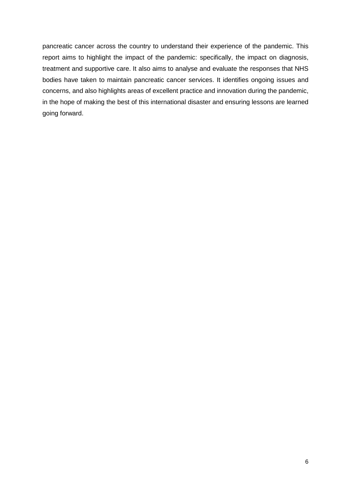pancreatic cancer across the country to understand their experience of the pandemic. This report aims to highlight the impact of the pandemic: specifically, the impact on diagnosis, treatment and supportive care. It also aims to analyse and evaluate the responses that NHS bodies have taken to maintain pancreatic cancer services. It identifies ongoing issues and concerns, and also highlights areas of excellent practice and innovation during the pandemic, in the hope of making the best of this international disaster and ensuring lessons are learned going forward.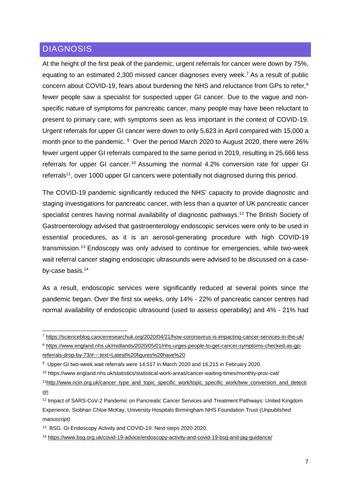## <span id="page-6-0"></span>**DIAGNOSIS**

1

At the height of the first peak of the pandemic, urgent referrals for cancer were down by 75%, equating to an estimated 2,300 missed cancer diagnoses every week.<sup>7</sup> As a result of public concern about COVID-19, fears about burdening the NHS and reluctance from GPs to refer,<sup>8</sup> fewer people saw a specialist for suspected upper GI cancer. Due to the vague and nonspecific nature of symptoms for pancreatic cancer, many people may have been reluctant to present to primary care; with symptoms seen as less important in the context of COVID-19. Urgent referrals for upper GI cancer were down to only 5,623 in April compared with 15,000 a month prior to the pandemic. <sup>9</sup> Over the period March 2020 to August 2020, there were 26% fewer urgent upper GI referrals compared to the same period in 2019, resulting in 25,666 less referrals for upper GI cancer.<sup>10</sup> Assuming the normal 4.2% conversion rate for upper GI referrals<sup>11</sup>, over 1000 upper GI cancers were potentially not diagnosed during this period.

The COVID-19 pandemic significantly reduced the NHS' capacity to provide diagnostic and staging investigations for pancreatic cancer, with less than a quarter of UK pancreatic cancer specialist centres having normal availability of diagnostic pathways.<sup>12</sup> The British Society of Gastroenterology advised that gastroenterology endoscopic services were only to be used in essential procedures, as it is an aerosol-generating procedure with high COVID-19 transmission.<sup>13</sup> Endoscopy was only advised to continue for emergencies, while two-week wait referral cancer staging endoscopic ultrasounds were advised to be discussed on a caseby-case basis.<sup>14</sup>

As a result, endoscopic services were significantly reduced at several points since the pandemic began. Over the first six weeks, only 14% - 22% of pancreatic cancer centres had normal availability of endoscopic ultrasound (used to assess operability) and 4% - 21% had

<sup>7</sup> <https://scienceblog.cancerresearchuk.org/2020/04/21/how-coronavirus-is-impacting-cancer-services-in-the-uk/>

<sup>8</sup> [https://www.england.nhs.uk/midlands/2020/05/01/nhs-urges-people-to-get-cancer-symptoms-checked-as-gp](https://www.england.nhs.uk/midlands/2020/05/01/nhs-urges-people-to-get-cancer-symptoms-checked-as-gp-referrals-drop-by-73/#:~:text=Latest%20figures%20have%20)[referrals-drop-by-73/#:~:text=Latest%20figures%20have%20](https://www.england.nhs.uk/midlands/2020/05/01/nhs-urges-people-to-get-cancer-symptoms-checked-as-gp-referrals-drop-by-73/#:~:text=Latest%20figures%20have%20)

<sup>&</sup>lt;sup>9</sup> Upper GI two-week wait referrals were 14,517 in March 2020 and 16,215 in February 2020.

<sup>10</sup> https://www.england.nhs.uk/statistics/statistical-work-areas/cancer-waiting-times/monthly-prov-cwt/

<sup>&</sup>lt;sup>11</sup>[http://www.ncin.org.uk/cancer\\_type\\_and\\_topic\\_specific\\_work/topic\\_specific\\_work/tww\\_conversion\\_and\\_detecti](http://www.ncin.org.uk/cancer_type_and_topic_specific_work/topic_specific_work/tww_conversion_and_detection) [on](http://www.ncin.org.uk/cancer_type_and_topic_specific_work/topic_specific_work/tww_conversion_and_detection)

<sup>12</sup> Impact of SARS-CoV-2 Pandemic on Pancreatic Cancer Services and Treatment Pathways: United Kingdom Experience, Siobhan Chloe McKay, University Hospitals Birmingham NHS Foundation Trust (*Unpublished manuscript)*

<sup>13</sup> BSG. GI Endoscopy Activity and COVID-19: Next steps 2020 2020.

<sup>14</sup> <https://www.bsg.org.uk/covid-19-advice/endoscopy-activity-and-covid-19-bsg-and-jag-guidance/>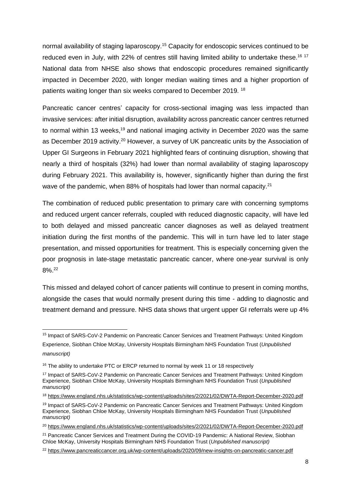normal availability of staging laparoscopy.<sup>15</sup> Capacity for endoscopic services continued to be reduced even in July, with 22% of centres still having limited ability to undertake these.<sup>16 17</sup> National data from NHSE also shows that endoscopic procedures remained significantly impacted in December 2020, with longer median waiting times and a higher proportion of patients waiting longer than six weeks compared to December 2019. <sup>18</sup>

Pancreatic cancer centres' capacity for cross-sectional imaging was less impacted than invasive services: after initial disruption, availability across pancreatic cancer centres returned to normal within 13 weeks,<sup>19</sup> and national imaging activity in December 2020 was the same as December 2019 activity.<sup>20</sup> However, a survey of UK pancreatic units by the Association of Upper GI Surgeons in February 2021 highlighted fears of continuing disruption, showing that nearly a third of hospitals (32%) had lower than normal availability of staging laparoscopy during February 2021. This availability is, however, significantly higher than during the first wave of the pandemic, when 88% of hospitals had lower than normal capacity.<sup>21</sup>

The combination of reduced public presentation to primary care with concerning symptoms and reduced urgent cancer referrals, coupled with reduced diagnostic capacity, will have led to both delayed and missed pancreatic cancer diagnoses as well as delayed treatment initiation during the first months of the pandemic. This will in turn have led to later stage presentation, and missed opportunities for treatment. This is especially concerning given the poor prognosis in late-stage metastatic pancreatic cancer, where one-year survival is only 8%. 22

This missed and delayed cohort of cancer patients will continue to present in coming months, alongside the cases that would normally present during this time - adding to diagnostic and treatment demand and pressure. NHS data shows that urgent upper GI referrals were up 4%

<sup>15</sup> Impact of SARS-CoV-2 Pandemic on Pancreatic Cancer Services and Treatment Pathways: United Kingdom Experience, Siobhan Chloe McKay, University Hospitals Birmingham NHS Foundation Trust (*Unpublished manuscript)*

<sup>&</sup>lt;sup>16</sup> The ability to undertake PTC or ERCP returned to normal by week 11 or 18 respectively

<sup>17</sup> Impact of SARS-CoV-2 Pandemic on Pancreatic Cancer Services and Treatment Pathways: United Kingdom Experience, Siobhan Chloe McKay, University Hospitals Birmingham NHS Foundation Trust (*Unpublished manuscript)*

<sup>18</sup> <https://www.england.nhs.uk/statistics/wp-content/uploads/sites/2/2021/02/DWTA-Report-December-2020.pdf>

<sup>19</sup> Impact of SARS-CoV-2 Pandemic on Pancreatic Cancer Services and Treatment Pathways: United Kingdom Experience, Siobhan Chloe McKay, University Hospitals Birmingham NHS Foundation Trust (*Unpublished manuscript)*

<sup>&</sup>lt;sup>20</sup> <https://www.england.nhs.uk/statistics/wp-content/uploads/sites/2/2021/02/DWTA-Report-December-2020.pdf>

<sup>&</sup>lt;sup>21</sup> Pancreatic Cancer Services and Treatment During the COVID-19 Pandemic: A National Review, Siobhan Chloe McKay, University Hospitals Birmingham NHS Foundation Trust (*Unpublished manuscript)*

<sup>22</sup> <https://www.pancreaticcancer.org.uk/wp-content/uploads/2020/09/new-insights-on-pancreatic-cancer.pdf>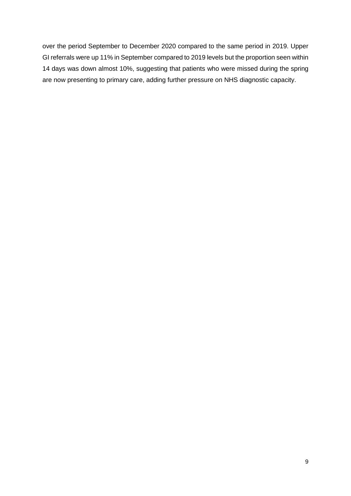over the period September to December 2020 compared to the same period in 2019. Upper GI referrals were up 11% in September compared to 2019 levels but the proportion seen within 14 days was down almost 10%, suggesting that patients who were missed during the spring are now presenting to primary care, adding further pressure on NHS diagnostic capacity.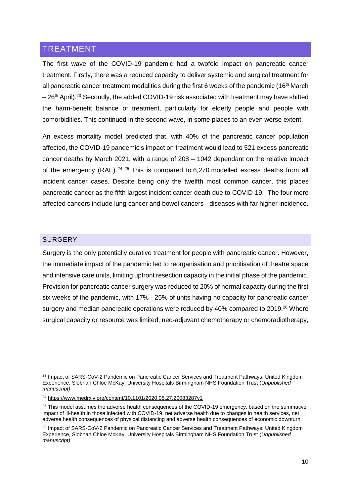#### <span id="page-9-0"></span>TREATMENT

The first wave of the COVID-19 pandemic had a twofold impact on pancreatic cancer treatment. Firstly, there was a reduced capacity to deliver systemic and surgical treatment for all pancreatic cancer treatment modalities during the first 6 weeks of the pandemic (16<sup>th</sup> March  $-26$ <sup>th</sup> April).<sup>23</sup> Secondly, the added COVID-19 risk associated with treatment may have shifted the harm-benefit balance of treatment, particularly for elderly people and people with comorbidities. This continued in the second wave, in some places to an even worse extent.

An excess mortality model predicted that, with 40% of the pancreatic cancer population affected, the COVID-19 pandemic's impact on treatment would lead to 521 excess pancreatic cancer deaths by March 2021, with a range of 208 – 1042 dependant on the relative impact of the emergency (RAE).<sup>24 25</sup> This is compared to 6,270 modelled excess deaths from all incident cancer cases. Despite being only the twelfth most common cancer, this places pancreatic cancer as the fifth largest incident cancer death due to COVID-19. The four more affected cancers include lung cancer and bowel cancers - diseases with far higher incidence.

#### <span id="page-9-1"></span>SURGERY

**.** 

Surgery is the only potentially curative treatment for people with pancreatic cancer. However, the immediate impact of the pandemic led to reorganisation and prioritisation of theatre space and intensive care units, limiting upfront resection capacity in the initial phase of the pandemic. Provision for pancreatic cancer surgery was reduced to 20% of normal capacity during the first six weeks of the pandemic, with 17% - 25% of units having no capacity for pancreatic cancer surgery and median pancreatic operations were reduced by 40% compared to 2019.<sup>26</sup> Where surgical capacity or resource was limited, neo-adjuvant chemotherapy or chemoradiotherapy,

<sup>&</sup>lt;sup>23</sup> Impact of SARS-CoV-2 Pandemic on Pancreatic Cancer Services and Treatment Pathways: United Kingdom Experience, Siobhan Chloe McKay, University Hospitals Birmingham NHS Foundation Trust (*Unpublished manuscript)*

<sup>24</sup> <https://www.medrxiv.org/content/10.1101/2020.05.27.20083287v1>

<sup>&</sup>lt;sup>25</sup> This model assumes the adverse health consequences of the COVID-19 emergency, based on the summative impact of ill-health in those infected with COVID-19, net adverse health due to changes in health services, net adverse health consequences of physical distancing and adverse health consequences of economic downturn.

<sup>&</sup>lt;sup>26</sup> Impact of SARS-CoV-2 Pandemic on Pancreatic Cancer Services and Treatment Pathways: United Kingdom Experience, Siobhan Chloe McKay, University Hospitals Birmingham NHS Foundation Trust (*Unpublished manuscript)*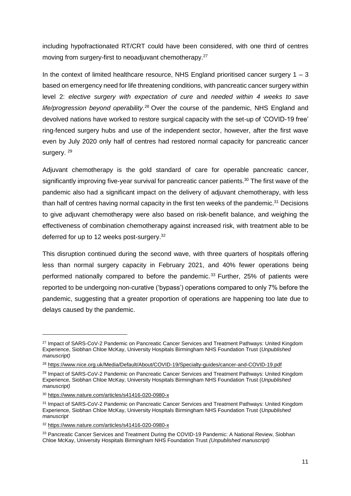including hypofractionated RT/CRT could have been considered, with one third of centres moving from surgery-first to neoadjuvant chemotherapy.<sup>27</sup>

In the context of limited healthcare resource, NHS England prioritised cancer surgery  $1 - 3$ based on emergency need for life threatening conditions, with pancreatic cancer surgery within level 2: *elective surgery with expectation of cure* and *needed within 4 weeks to save life/progression beyond operability.*<sup>28</sup> Over the course of the pandemic, NHS England and devolved nations have worked to restore surgical capacity with the set-up of 'COVID-19 free' ring-fenced surgery hubs and use of the independent sector, however, after the first wave even by July 2020 only half of centres had restored normal capacity for pancreatic cancer surgery.<sup>29</sup>

Adjuvant chemotherapy is the gold standard of care for operable pancreatic cancer, significantly improving five-year survival for pancreatic cancer patients.<sup>30</sup> The first wave of the pandemic also had a significant impact on the delivery of adjuvant chemotherapy, with less than half of centres having normal capacity in the first ten weeks of the pandemic.<sup>31</sup> Decisions to give adjuvant chemotherapy were also based on risk-benefit balance, and weighing the effectiveness of combination chemotherapy against increased risk, with treatment able to be deferred for up to 12 weeks post-surgery.<sup>32</sup>

This disruption continued during the second wave, with three quarters of hospitals offering less than normal surgery capacity in February 2021, and 40% fewer operations being performed nationally compared to before the pandemic. <sup>33</sup> Further, 25% of patients were reported to be undergoing non-curative ('bypass') operations compared to only 7% before the pandemic, suggesting that a greater proportion of operations are happening too late due to delays caused by the pandemic.

<sup>&</sup>lt;sup>27</sup> Impact of SARS-CoV-2 Pandemic on Pancreatic Cancer Services and Treatment Pathways: United Kingdom Experience, Siobhan Chloe McKay, University Hospitals Birmingham NHS Foundation Trust (*Unpublished manuscript)*

<sup>28</sup> <https://www.nice.org.uk/Media/Default/About/COVID-19/Specialty-guides/cancer-and-COVID-19.pdf>

<sup>&</sup>lt;sup>29</sup> Impact of SARS-CoV-2 Pandemic on Pancreatic Cancer Services and Treatment Pathways: United Kingdom Experience, Siobhan Chloe McKay, University Hospitals Birmingham NHS Foundation Trust (*Unpublished manuscript)*

<sup>30</sup> <https://www.nature.com/articles/s41416-020-0980-x>

<sup>31</sup> Impact of SARS-CoV-2 Pandemic on Pancreatic Cancer Services and Treatment Pathways: United Kingdom Experience, Siobhan Chloe McKay, University Hospitals Birmingham NHS Foundation Trust (*Unpublished manuscript*

<sup>32</sup> <https://www.nature.com/articles/s41416-020-0980-x>

<sup>33</sup> Pancreatic Cancer Services and Treatment During the COVID-19 Pandemic: A National Review, Siobhan Chloe McKay, University Hospitals Birmingham NHS Foundation Trust *(Unpublished manuscript)*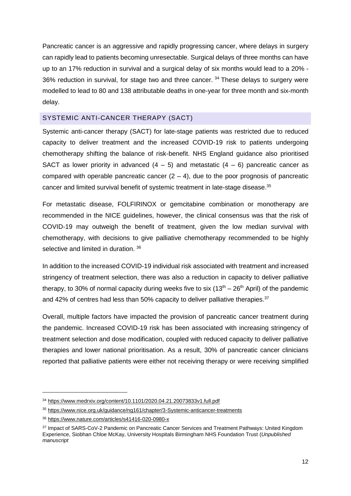Pancreatic cancer is an aggressive and rapidly progressing cancer, where delays in surgery can rapidly lead to patients becoming unresectable. Surgical delays of three months can have up to an 17% reduction in survival and a surgical delay of six months would lead to a 20% - 36% reduction in survival, for stage two and three cancer. <sup>34</sup> These delays to surgery were modelled to lead to 80 and 138 attributable deaths in one-year for three month and six-month delay.

#### <span id="page-11-0"></span>SYSTEMIC ANTI-CANCER THERAPY (SACT)

Systemic anti-cancer therapy (SACT) for late-stage patients was restricted due to reduced capacity to deliver treatment and the increased COVID-19 risk to patients undergoing chemotherapy shifting the balance of risk-benefit. NHS England guidance also prioritised SACT as lower priority in advanced  $(4 - 5)$  and metastatic  $(4 - 6)$  pancreatic cancer as compared with operable pancreatic cancer  $(2 - 4)$ , due to the poor prognosis of pancreatic cancer and limited survival benefit of systemic treatment in late-stage disease.<sup>35</sup>

For metastatic disease, FOLFIRINOX or gemcitabine combination or monotherapy are recommended in the NICE guidelines, however, the clinical consensus was that the risk of COVID-19 may outweigh the benefit of treatment, given the low median survival with chemotherapy, with decisions to give palliative chemotherapy recommended to be highly selective and limited in duration. 36

In addition to the increased COVID-19 individual risk associated with treatment and increased stringency of treatment selection, there was also a reduction in capacity to deliver palliative therapy, to 30% of normal capacity during weeks five to six  $(13<sup>th</sup> – 26<sup>th</sup>$  April) of the pandemic and 42% of centres had less than 50% capacity to deliver palliative therapies.<sup>37</sup>

Overall, multiple factors have impacted the provision of pancreatic cancer treatment during the pandemic. Increased COVID-19 risk has been associated with increasing stringency of treatment selection and dose modification, coupled with reduced capacity to deliver palliative therapies and lower national prioritisation. As a result, 30% of pancreatic cancer clinicians reported that palliative patients were either not receiving therapy or were receiving simplified

<sup>34</sup> <https://www.medrxiv.org/content/10.1101/2020.04.21.20073833v1.full.pdf>

<sup>35</sup> <https://www.nice.org.uk/guidance/ng161/chapter/3-Systemic-anticancer-treatments>

<sup>36</sup> <https://www.nature.com/articles/s41416-020-0980-x>

<sup>&</sup>lt;sup>37</sup> Impact of SARS-CoV-2 Pandemic on Pancreatic Cancer Services and Treatment Pathways: United Kingdom Experience, Siobhan Chloe McKay, University Hospitals Birmingham NHS Foundation Trust (*Unpublished manuscript*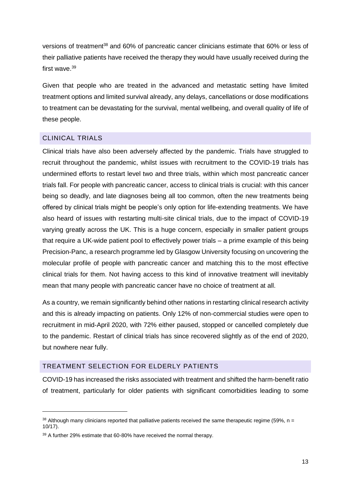versions of treatment<sup>38</sup> and 60% of pancreatic cancer clinicians estimate that 60% or less of their palliative patients have received the therapy they would have usually received during the first wave. 39

Given that people who are treated in the advanced and metastatic setting have limited treatment options and limited survival already, any delays, cancellations or dose modifications to treatment can be devastating for the survival, mental wellbeing, and overall quality of life of these people.

#### <span id="page-12-0"></span>CLINICAL TRIALS

**.** 

Clinical trials have also been adversely affected by the pandemic. Trials have struggled to recruit throughout the pandemic, whilst issues with recruitment to the COVID-19 trials has undermined efforts to restart level two and three trials, within which most pancreatic cancer trials fall. For people with pancreatic cancer, access to clinical trials is crucial: with this cancer being so deadly, and late diagnoses being all too common, often the new treatments being offered by clinical trials might be people's only option for life-extending treatments. We have also heard of issues with restarting multi-site clinical trials, due to the impact of COVID-19 varying greatly across the UK. This is a huge concern, especially in smaller patient groups that require a UK-wide patient pool to effectively power trials – a prime example of this being Precision-Panc, a research programme led by Glasgow University focusing on uncovering the molecular profile of people with pancreatic cancer and matching this to the most effective clinical trials for them. Not having access to this kind of innovative treatment will inevitably mean that many people with pancreatic cancer have no choice of treatment at all.

As a country, we remain significantly behind other nations in restarting clinical research activity and this is already impacting on patients. Only 12% of non-commercial studies were open to recruitment in mid-April 2020, with 72% either paused, stopped or cancelled completely due to the pandemic. Restart of clinical trials has since recovered slightly as of the end of 2020, but nowhere near fully.

#### <span id="page-12-1"></span>TREATMENT SELECTION FOR ELDERLY PATIENTS

COVID-19 has increased the risks associated with treatment and shifted the harm-benefit ratio of treatment, particularly for older patients with significant comorbidities leading to some

 $38$  Although many clinicians reported that palliative patients received the same therapeutic regime (59%, n = 10/17).

<sup>&</sup>lt;sup>39</sup> A further 29% estimate that 60-80% have received the normal therapy.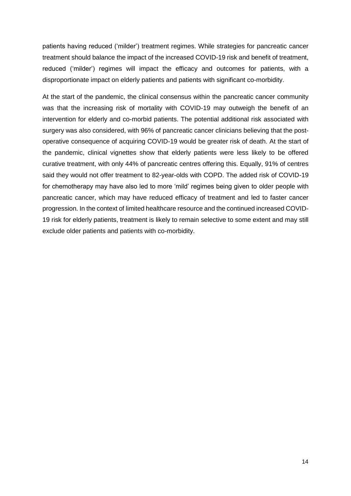patients having reduced ('milder') treatment regimes. While strategies for pancreatic cancer treatment should balance the impact of the increased COVID-19 risk and benefit of treatment, reduced ('milder') regimes will impact the efficacy and outcomes for patients, with a disproportionate impact on elderly patients and patients with significant co-morbidity.

At the start of the pandemic, the clinical consensus within the pancreatic cancer community was that the increasing risk of mortality with COVID-19 may outweigh the benefit of an intervention for elderly and co-morbid patients. The potential additional risk associated with surgery was also considered, with 96% of pancreatic cancer clinicians believing that the postoperative consequence of acquiring COVID-19 would be greater risk of death. At the start of the pandemic, clinical vignettes show that elderly patients were less likely to be offered curative treatment, with only 44% of pancreatic centres offering this. Equally, 91% of centres said they would not offer treatment to 82-year-olds with COPD. The added risk of COVID-19 for chemotherapy may have also led to more 'mild' regimes being given to older people with pancreatic cancer, which may have reduced efficacy of treatment and led to faster cancer progression. In the context of limited healthcare resource and the continued increased COVID-19 risk for elderly patients, treatment is likely to remain selective to some extent and may still exclude older patients and patients with co-morbidity.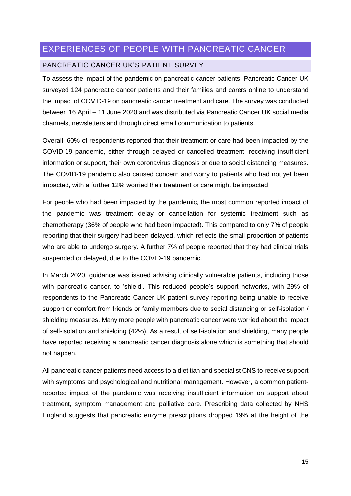# <span id="page-14-0"></span>EXPERIENCES OF PEOPLE WITH PANCREATIC CANCER

#### <span id="page-14-1"></span>PANCREATIC CANCER UK'S PATIENT SURVEY

To assess the impact of the pandemic on pancreatic cancer patients, Pancreatic Cancer UK surveyed 124 pancreatic cancer patients and their families and carers online to understand the impact of COVID-19 on pancreatic cancer treatment and care. The survey was conducted between 16 April – 11 June 2020 and was distributed via Pancreatic Cancer UK social media channels, newsletters and through direct email communication to patients.

Overall, 60% of respondents reported that their treatment or care had been impacted by the COVID-19 pandemic, either through delayed or cancelled treatment, receiving insufficient information or support, their own coronavirus diagnosis or due to social distancing measures. The COVID-19 pandemic also caused concern and worry to patients who had not yet been impacted, with a further 12% worried their treatment or care might be impacted.

For people who had been impacted by the pandemic, the most common reported impact of the pandemic was treatment delay or cancellation for systemic treatment such as chemotherapy (36% of people who had been impacted). This compared to only 7% of people reporting that their surgery had been delayed, which reflects the small proportion of patients who are able to undergo surgery. A further 7% of people reported that they had clinical trials suspended or delayed, due to the COVID-19 pandemic.

In March 2020, guidance was issued advising clinically vulnerable patients, including those with pancreatic cancer, to 'shield'. This reduced people's support networks, with 29% of respondents to the Pancreatic Cancer UK patient survey reporting being unable to receive support or comfort from friends or family members due to social distancing or self-isolation / shielding measures. Many more people with pancreatic cancer were worried about the impact of self-isolation and shielding (42%). As a result of self-isolation and shielding, many people have reported receiving a pancreatic cancer diagnosis alone which is something that should not happen.

All pancreatic cancer patients need access to a dietitian and specialist CNS to receive support with symptoms and psychological and nutritional management. However, a common patientreported impact of the pandemic was receiving insufficient information on support about treatment, symptom management and palliative care. Prescribing data collected by NHS England suggests that pancreatic enzyme prescriptions dropped 19% at the height of the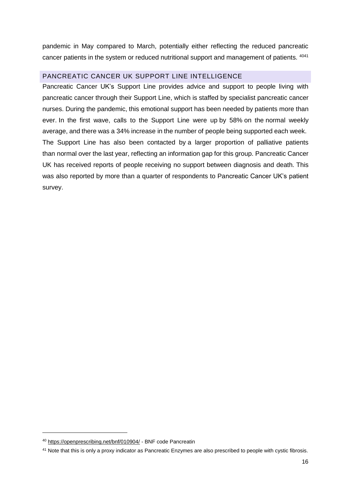pandemic in May compared to March, potentially either reflecting the reduced pancreatic cancer patients in the system or reduced nutritional support and management of patients. <sup>4041</sup>

#### <span id="page-15-0"></span>PANCREATIC CANCER UK SUPPORT LINE INTELLIGENCE

Pancreatic Cancer UK's Support Line provides advice and support to people living with pancreatic cancer through their Support Line, which is staffed by specialist pancreatic cancer nurses. During the pandemic, this emotional support has been needed by patients more than ever. In the first wave, calls to the Support Line were up by 58% on the normal weekly average, and there was a 34% increase in the number of people being supported each week. The Support Line has also been contacted by a larger proportion of palliative patients than normal over the last year, reflecting an information gap for this group. Pancreatic Cancer UK has received reports of people receiving no support between diagnosis and death. This was also reported by more than a quarter of respondents to Pancreatic Cancer UK's patient survey.

<sup>40</sup> <https://openprescribing.net/bnf/010904/> - BNF code Pancreatin

<sup>&</sup>lt;sup>41</sup> Note that this is only a proxy indicator as Pancreatic Enzymes are also prescribed to people with cystic fibrosis.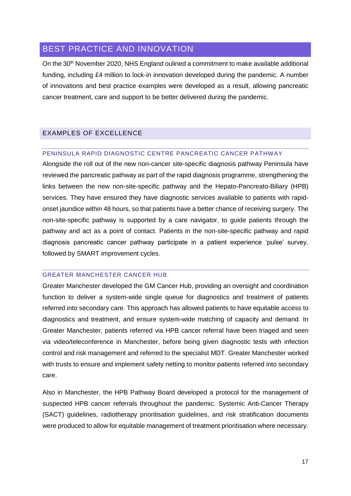# <span id="page-16-0"></span>BEST PRACTICE AND INNOVATION

On the 30<sup>th</sup> November 2020, NHS England oulined a commitment to make available additional funding, including £4 million to lock-in innovation developed during the pandemic. A number of innovations and best practice examples were developed as a result, allowing pancreatic cancer treatment, care and support to be better delivered during the pandemic.

#### <span id="page-16-1"></span>EXAMPLES OF EXCELLENCE

#### <span id="page-16-2"></span>PENINSULA RAPID DIAGNOSTIC CENTRE PANCREATIC CANCER PATHWAY

Alongside the roll out of the new non-cancer site-specific diagnosis pathway Peninsula have reviewed the pancreatic pathway as part of the rapid diagnosis programme, strengthening the links between the new non-site-specific pathway and the Hepato-Pancreato-Biliary (HPB) services. They have ensured they have diagnostic services available to patients with rapidonset jaundice within 48 hours, so that patients have a better chance of receiving surgery. The non-site-specific pathway is supported by a care navigator, to guide patients through the pathway and act as a point of contact. Patients in the non-site-specific pathway and rapid diagnosis pancreatic cancer pathway participate in a patient experience 'pulse' survey, followed by SMART improvement cycles.

#### <span id="page-16-3"></span>GREATER MANCHESTER CANCER HUB

Greater Manchester developed the GM Cancer Hub, providing an oversight and coordination function to deliver a system-wide single queue for diagnostics and treatment of patients referred into secondary care. This approach has allowed patients to have equitable access to diagnostics and treatment, and ensure system-wide matching of capacity and demand. In Greater Manchester, patients referred via HPB cancer referral have been triaged and seen via video/teleconference in Manchester, before being given diagnostic tests with infection control and risk management and referred to the specialist MDT. Greater Manchester worked with trusts to ensure and implement safety netting to monitor patients referred into secondary care.

Also in Manchester, the HPB Pathway Board developed a protocol for the management of suspected HPB cancer referrals throughout the pandemic. Systemic Anti-Cancer Therapy (SACT) guidelines, radiotherapy prioritisation guidelines, and risk stratification documents were produced to allow for equitable management of treatment prioritisation where necessary.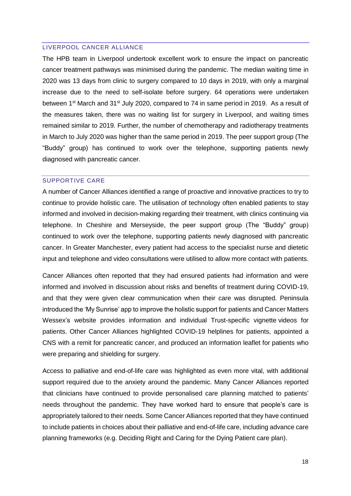#### <span id="page-17-0"></span>LIVERPOOL CANCER ALLIANCE

The HPB team in Liverpool undertook excellent work to ensure the impact on pancreatic cancer treatment pathways was minimised during the pandemic. The median waiting time in 2020 was 13 days from clinic to surgery compared to 10 days in 2019, with only a marginal increase due to the need to self-isolate before surgery. 64 operations were undertaken between 1<sup>st</sup> March and 31<sup>st</sup> July 2020, compared to 74 in same period in 2019. As a result of the measures taken, there was no waiting list for surgery in Liverpool, and waiting times remained similar to 2019. Further, the number of chemotherapy and radiotherapy treatments in March to July 2020 was higher than the same period in 2019. The peer support group (The "Buddy" group) has continued to work over the telephone, supporting patients newly diagnosed with pancreatic cancer.

#### <span id="page-17-1"></span>SUPPORTIVE CARE

A number of Cancer Alliances identified a range of proactive and innovative practices to try to continue to provide holistic care. The utilisation of technology often enabled patients to stay informed and involved in decision-making regarding their treatment, with clinics continuing via telephone. In Cheshire and Merseyside, the peer support group (The "Buddy" group) continued to work over the telephone, supporting patients newly diagnosed with pancreatic cancer. In Greater Manchester, every patient had access to the specialist nurse and dietetic input and telephone and video consultations were utilised to allow more contact with patients.

Cancer Alliances often reported that they had ensured patients had information and were informed and involved in discussion about risks and benefits of treatment during COVID-19, and that they were given clear communication when their care was disrupted. Peninsula introduced the 'My Sunrise' app to improve the holistic support for patients and Cancer Matters Wessex's website provides information and individual Trust-specific vignette videos for patients. Other Cancer Alliances highlighted COVID-19 helplines for patients, appointed a CNS with a remit for pancreatic cancer, and produced an information leaflet for patients who were preparing and shielding for surgery.

Access to palliative and end-of-life care was highlighted as even more vital, with additional support required due to the anxiety around the pandemic. Many Cancer Alliances reported that clinicians have continued to provide personalised care planning matched to patients' needs throughout the pandemic. They have worked hard to ensure that people's care is appropriately tailored to their needs. Some Cancer Alliances reported that they have continued to include patients in choices about their palliative and end-of-life care, including advance care planning frameworks (e.g. Deciding Right and Caring for the Dying Patient care plan).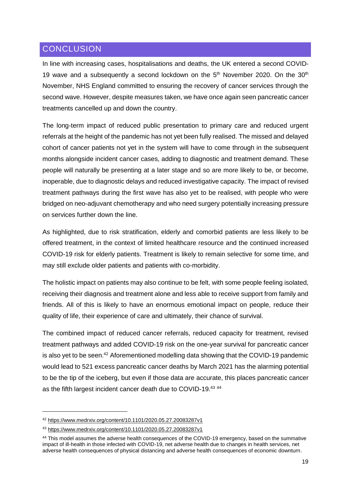# <span id="page-18-0"></span>**CONCLUSION**

In line with increasing cases, hospitalisations and deaths, the UK entered a second COVID-19 wave and a subsequently a second lockdown on the  $5<sup>th</sup>$  November 2020. On the  $30<sup>th</sup>$ November, NHS England committed to ensuring the recovery of cancer services through the second wave. However, despite measures taken, we have once again seen pancreatic cancer treatments cancelled up and down the country.

The long-term impact of reduced public presentation to primary care and reduced urgent referrals at the height of the pandemic has not yet been fully realised. The missed and delayed cohort of cancer patients not yet in the system will have to come through in the subsequent months alongside incident cancer cases, adding to diagnostic and treatment demand. These people will naturally be presenting at a later stage and so are more likely to be, or become, inoperable, due to diagnostic delays and reduced investigative capacity. The impact of revised treatment pathways during the first wave has also yet to be realised, with people who were bridged on neo-adjuvant chemotherapy and who need surgery potentially increasing pressure on services further down the line.

As highlighted, due to risk stratification, elderly and comorbid patients are less likely to be offered treatment, in the context of limited healthcare resource and the continued increased COVID-19 risk for elderly patients. Treatment is likely to remain selective for some time, and may still exclude older patients and patients with co-morbidity.

The holistic impact on patients may also continue to be felt, with some people feeling isolated, receiving their diagnosis and treatment alone and less able to receive support from family and friends. All of this is likely to have an enormous emotional impact on people, reduce their quality of life, their experience of care and ultimately, their chance of survival.

The combined impact of reduced cancer referrals, reduced capacity for treatment, revised treatment pathways and added COVID-19 risk on the one-year survival for pancreatic cancer is also yet to be seen.<sup>42</sup> Aforementioned modelling data showing that the COVID-19 pandemic would lead to 521 excess pancreatic cancer deaths by March 2021 has the alarming potential to be the tip of the iceberg, but even if those data are accurate, this places pancreatic cancer as the fifth largest incident cancer death due to COVID-19.<sup>43 44</sup>

**.** 

<sup>42</sup> <https://www.medrxiv.org/content/10.1101/2020.05.27.20083287v1>

<sup>43</sup> <https://www.medrxiv.org/content/10.1101/2020.05.27.20083287v1>

<sup>44</sup> This model assumes the adverse health consequences of the COVID-19 emergency, based on the summative impact of ill-health in those infected with COVID-19, net adverse health due to changes in health services, net adverse health consequences of physical distancing and adverse health consequences of economic downturn.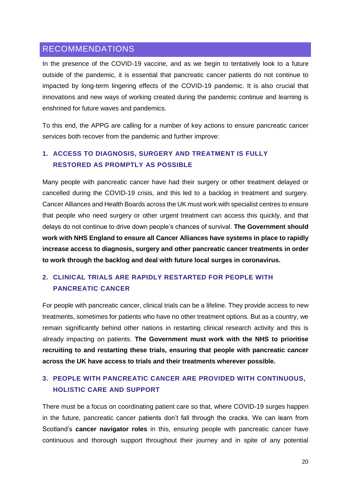## <span id="page-19-0"></span>RECOMMENDATIONS

In the presence of the COVID-19 vaccine, and as we begin to tentatively look to a future outside of the pandemic, it is essential that pancreatic cancer patients do not continue to impacted by long-term lingering effects of the COVID-19 pandemic. It is also crucial that innovations and new ways of working created during the pandemic continue and learning is enshrined for future waves and pandemics.

To this end, the APPG are calling for a number of key actions to ensure pancreatic cancer services both recover from the pandemic and further improve:

# **1. ACCESS TO DIAGNOSIS, SURGERY AND TREATMENT IS FULLY RESTORED AS PROMPTLY AS POSSIBLE**

Many people with pancreatic cancer have had their surgery or other treatment delayed or cancelled during the COVID-19 crisis, and this led to a backlog in treatment and surgery. Cancer Alliances and Health Boards across the UK must work with specialist centres to ensure that people who need surgery or other urgent treatment can access this quickly, and that delays do not continue to drive down people's chances of survival. **The Government should work with NHS England to ensure all Cancer Alliances have systems in place to rapidly increase access to diagnosis, surgery and other pancreatic cancer treatments in order to work through the backlog and deal with future local surges in coronavirus.**

# **2. CLINICAL TRIALS ARE RAPIDLY RESTARTED FOR PEOPLE WITH PANCREATIC CANCER**

For people with pancreatic cancer, clinical trials can be a lifeline. They provide access to new treatments, sometimes for patients who have no other treatment options. But as a country, we remain significantly behind other nations in restarting clinical research activity and this is already impacting on patients. **The Government must work with the NHS to prioritise recruiting to and restarting these trials, ensuring that people with pancreatic cancer across the UK have access to trials and their treatments wherever possible.** 

# **3. PEOPLE WITH PANCREATIC CANCER ARE PROVIDED WITH CONTINUOUS, HOLISTIC CARE AND SUPPORT**

There must be a focus on coordinating patient care so that, where COVID-19 surges happen in the future, pancreatic cancer patients don't fall through the cracks. We can learn from Scotland's **cancer navigator roles** in this, ensuring people with pancreatic cancer have continuous and thorough support throughout their journey and in spite of any potential